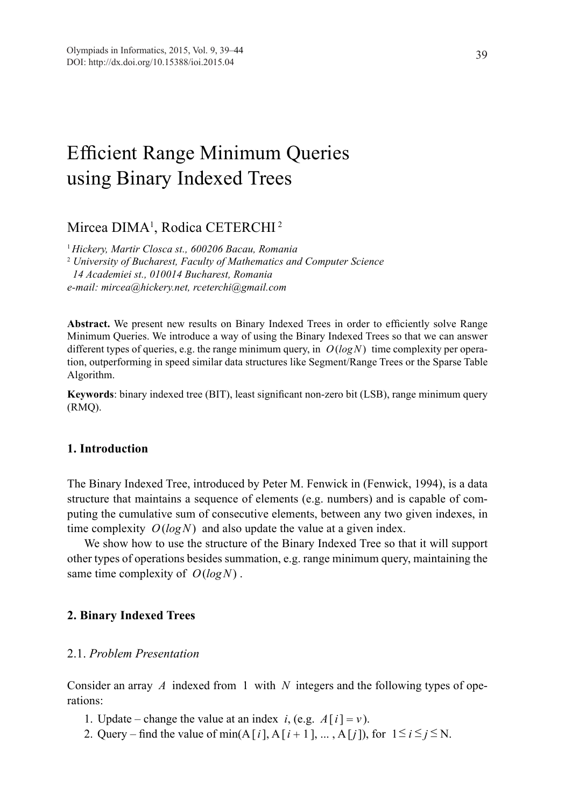# Efficient Range Minimum Queries using Binary Indexed Trees

Mircea DIMA<sup>1</sup>, Rodica CETERCHI<sup>2</sup>

<sup>1</sup>*Hickery, Martir Closca st., 600206 Bacau, Romania* 2  *University of Bucharest, Faculty of Mathematics and Computer Science 14 Academiei st., 010014 Bucharest, Romania e-mail: mircea@hickery.net, rceterchi@gmail.com*

Abstract. We present new results on Binary Indexed Trees in order to efficiently solve Range Minimum Queries. We introduce a way of using the Binary Indexed Trees so that we can answer different types of queries, e.g. the range minimum query, in *O*(*logN*) time complexity per operation, outperforming in speed similar data structures like Segment/Range Trees or the Sparse Table Algorithm.

**Keywords**: binary indexed tree (BIT), least significant non-zero bit (LSB), range minimum query (RMQ).

# **1. Introduction**

The Binary Indexed Tree, introduced by Peter M. Fenwick in (Fenwick, 1994), is a data structure that maintains a sequence of elements (e.g. numbers) and is capable of computing the cumulative sum of consecutive elements, between any two given indexes, in time complexity *O*(*logN*) and also update the value at a given index.

We show how to use the structure of the Binary Indexed Tree so that it will support other types of operations besides summation, e.g. range minimum query, maintaining the same time complexity of *O*(*logN*) .

#### **2. Binary Indexed Trees**

# 2.1. *Problem Presentation*

Consider an array *A* indexed from 1 with *N* integers and the following types of operations:

- 1. Update change the value at an index *i*, (e.g.  $A[i] = v$ ).
- 2. Query find the value of min(A[*i*], A[*i* + 1], ..., A[*j*]), for  $1 \le i \le j \le N$ .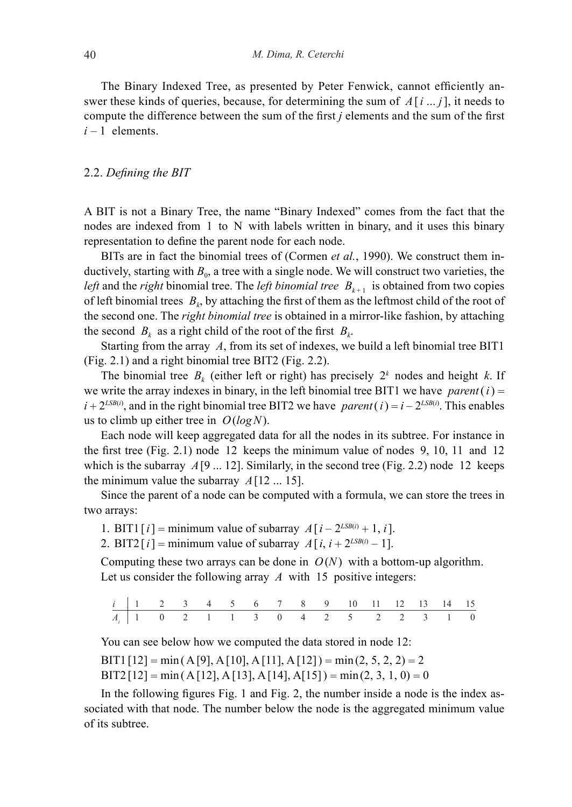The Binary Indexed Tree, as presented by Peter Fenwick, cannot efficiently answer these kinds of queries, because, for determining the sum of *A*[*i* ... *j*], it needs to compute the difference between the sum of the first *j* elements and the sum of the first  $i - 1$  elements.

#### 2.2. *Defining the BIT*

A BIT is not a Binary Tree, the name "Binary Indexed" comes from the fact that the nodes are indexed from 1 to N with labels written in binary, and it uses this binary representation to define the parent node for each node.

BITs are in fact the binomial trees of (Cormen *et al.*, 1990). We construct them inductively, starting with  $B_0$ , a tree with a single node. We will construct two varieties, the *left* and the *right* binomial tree. The *left binomial tree*  $B_{k+1}$  is obtained from two copies of left binomial trees  $B_k$ , by attaching the first of them as the leftmost child of the root of the second one. The *right binomial tree* is obtained in a mirror-like fashion, by attaching the second  $B_k$  as a right child of the root of the first  $B_k$ .

Starting from the array *A*, from its set of indexes, we build a left binomial tree BIT1 (Fig. 2.1) and a right binomial tree BIT2 (Fig. 2.2).

The binomial tree  $B_k$  (either left or right) has precisely  $2^k$  nodes and height k. If we write the array indexes in binary, in the left binomial tree BIT1 we have *parent* ( $i$ ) =  $i + 2^{LSB(i)}$ , and in the right binomial tree BIT2 we have *parent* (*i*) =  $i - 2^{LSB(i)}$ . This enables us to climb up either tree in *O*(*logN*).

Each node will keep aggregated data for all the nodes in its subtree. For instance in the first tree (Fig. 2.1) node 12 keeps the minimum value of nodes 9, 10, 11 and 12 which is the subarray  $A[9 \dots 12]$ . Similarly, in the second tree (Fig. 2.2) node 12 keeps the minimum value the subarray  $A[12 \dots 15]$ .

Since the parent of a node can be computed with a formula, we can store the trees in two arrays:

1. BIT1  $[i]$  = minimum value of subarray  $A[i - 2^{LSB(i)} + 1, i]$ .

2. BIT2  $[i]$  = minimum value of subarray  $A[i, i + 2^{LSB(i)} - 1]$ .

Computing these two arrays can be done in  $O(N)$  with a bottom-up algorithm. Let us consider the following array *A* with 15 positive integers:

|  |  |  |  |  | $i$   1 2 3 4 5 6 7 8 9 10 11 12 13 14 15 |  |  |  |
|--|--|--|--|--|-------------------------------------------|--|--|--|
|  |  |  |  |  | $A_i$ 1 0 2 1 1 3 0 4 2 5 2 2 3 1 0       |  |  |  |

You can see below how we computed the data stored in node 12:

 $BIT1[12] = min(A[9], A[10], A[11], A[12]) = min(2, 5, 2, 2) = 2$ 

 $BIT2[12] = min(A[12], A[13], A[14], A[15]) = min(2, 3, 1, 0) = 0$ 

In the following figures Fig. 1 and Fig. 2, the number inside a node is the index associated with that node. The number below the node is the aggregated minimum value of its subtree.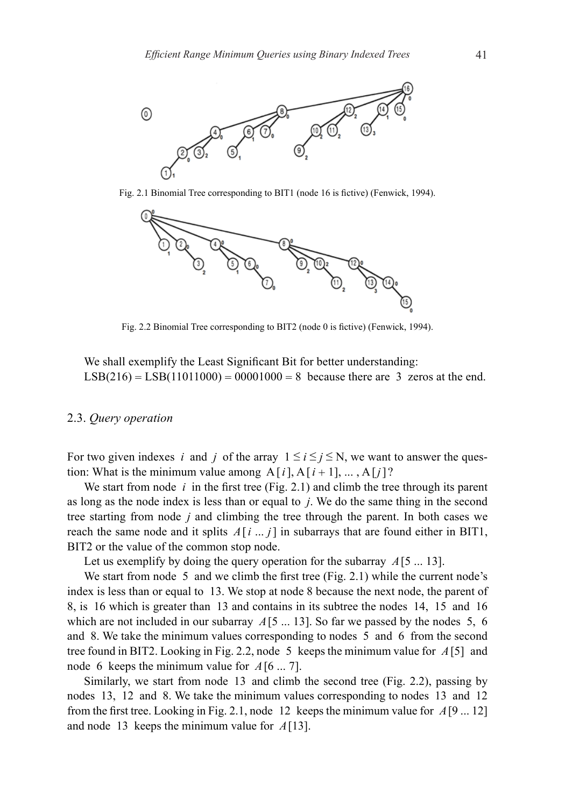

Fig. 2.1 Binomial Tree corresponding to BIT1 (node 16 is fictive) (Fenwick, 1994).



Fig. 2.2 Binomial Tree corresponding to BIT2 (node 0 is fictive) (Fenwick, 1994).

We shall exemplify the Least Significant Bit for better understanding:  $LSB(216) = LSB(11011000) = 00001000 = 8$  because there are 3 zeros at the end.

#### 2.3. *Query operation*

For two given indexes *i* and *j* of the array  $1 \le i \le j \le N$ , we want to answer the question: What is the minimum value among  $A[i], A[i+1], \ldots, A[i]$ ?

We start from node *i* in the first tree (Fig. 2.1) and climb the tree through its parent as long as the node index is less than or equal to *j*. We do the same thing in the second tree starting from node *j* and climbing the tree through the parent. In both cases we reach the same node and it splits  $A[i \dots j]$  in subarrays that are found either in BIT1, BIT2 or the value of the common stop node.

Let us exemplify by doing the query operation for the subarray *A*[5 ... 13].

We start from node 5 and we climb the first tree (Fig. 2.1) while the current node's index is less than or equal to 13. We stop at node 8 because the next node, the parent of 8, is 16 which is greater than 13 and contains in its subtree the nodes 14, 15 and 16 which are not included in our subarray  $A[5 \dots 13]$ . So far we passed by the nodes 5, 6 and 8. We take the minimum values corresponding to nodes 5 and 6 from the second tree found in BIT2. Looking in Fig. 2.2, node 5 keeps the minimum value for *A*[5] and node 6 keeps the minimum value for *A*[6 ... 7].

Similarly, we start from node 13 and climb the second tree (Fig. 2.2), passing by nodes 13, 12 and 8. We take the minimum values corresponding to nodes 13 and 12 from the first tree. Looking in Fig. 2.1, node 12 keeps the minimum value for *A*[9 ... 12] and node 13 keeps the minimum value for *A*[13].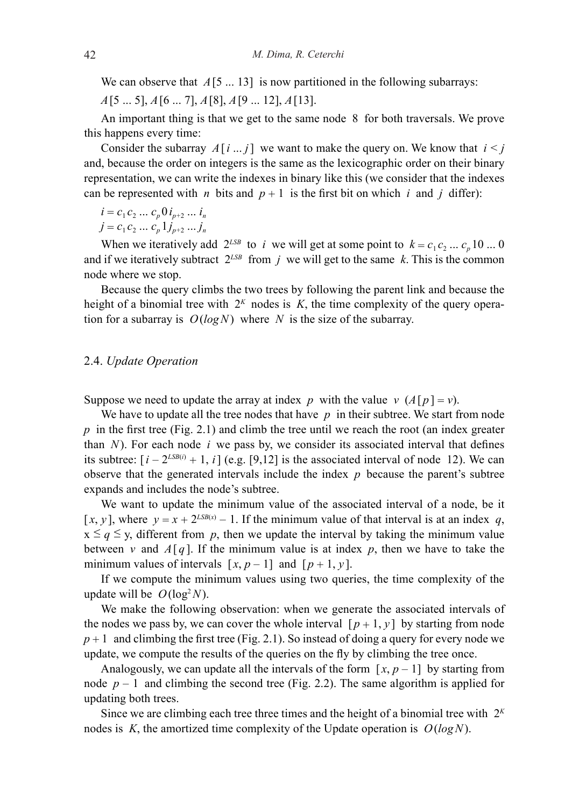We can observe that  $A[5 \dots 13]$  is now partitioned in the following subarrays:

*A*[5 ... 5], *A*[6 ... 7], *A*[8], *A*[9 ... 12], *A*[13].

An important thing is that we get to the same node 8 for both traversals. We prove this happens every time:

Consider the subarray  $A[i]$  ... *j* we want to make the query on. We know that  $i < j$ and, because the order on integers is the same as the lexicographic order on their binary representation, we can write the indexes in binary like this (we consider that the indexes can be represented with *n* bits and  $p + 1$  is the first bit on which *i* and *j* differ):

$$
i = c_1 c_2 \dots c_p 0 i_{p+2} \dots i_n
$$

$$
j = c_1 c_2 \dots c_p 1 j_{p+2} \dots j_n
$$

When we iteratively add  $2^{LSB}$  to *i* we will get at some point to  $k = c_1 c_2 ... c_n 10 ... 0$ and if we iteratively subtract  $2^{LSB}$  from *j* we will get to the same *k*. This is the common node where we stop.

Because the query climbs the two trees by following the parent link and because the height of a binomial tree with  $2<sup>K</sup>$  nodes is  $K$ , the time complexity of the query operation for a subarray is  $O(logN)$  where *N* is the size of the subarray.

#### 2.4. *Update Operation*

Suppose we need to update the array at index *p* with the value *v*  $(A[p] = v)$ .

We have to update all the tree nodes that have  $p$  in their subtree. We start from node *p* in the first tree (Fig. 2.1) and climb the tree until we reach the root (an index greater than  $N$ ). For each node  $i$  we pass by, we consider its associated interval that defines its subtree:  $[i - 2^{LSB(i)} + 1, i]$  (e.g. [9,12] is the associated interval of node 12). We can observe that the generated intervals include the index *p* because the parent's subtree expands and includes the node's subtree.

We want to update the minimum value of the associated interval of a node, be it  $[x, y]$ , where  $y = x + 2^{LSB(x)} - 1$ . If the minimum value of that interval is at an index *q*,  $x \leq q \leq y$ , different from p, then we update the interval by taking the minimum value between *v* and  $A[q]$ . If the minimum value is at index *p*, then we have to take the minimum values of intervals  $[x, p-1]$  and  $[p+1, y]$ .

If we compute the minimum values using two queries, the time complexity of the update will be  $O(log^2N)$ .

We make the following observation: when we generate the associated intervals of the nodes we pass by, we can cover the whole interval  $[p+1, y]$  by starting from node  $p+1$  and climbing the first tree (Fig. 2.1). So instead of doing a query for every node we update, we compute the results of the queries on the fly by climbing the tree once.

Analogously, we can update all the intervals of the form  $[x, p-1]$  by starting from node  $p-1$  and climbing the second tree (Fig. 2.2). The same algorithm is applied for updating both trees.

Since we are climbing each tree three times and the height of a binomial tree with  $2<sup>K</sup>$ nodes is *K*, the amortized time complexity of the Update operation is  $O(logN)$ .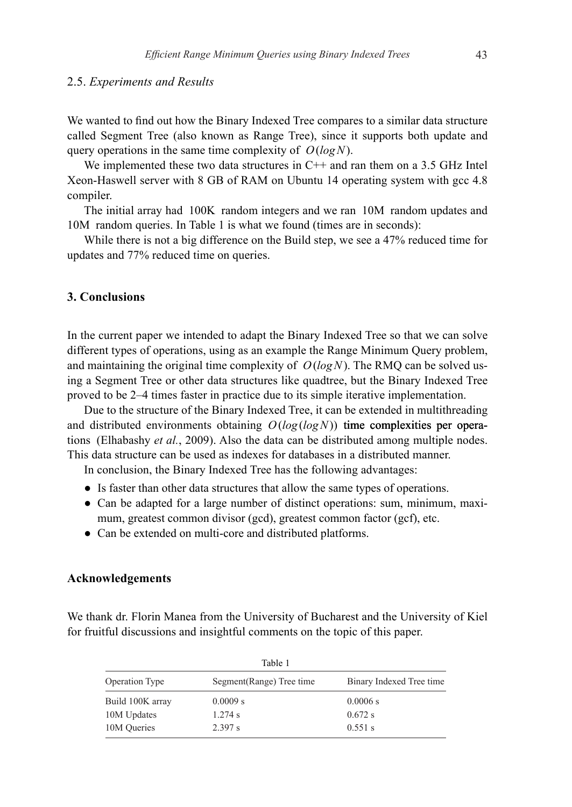#### 2.5. *Experiments and Results*

We wanted to find out how the Binary Indexed Tree compares to a similar data structure called Segment Tree (also known as Range Tree), since it supports both update and query operations in the same time complexity of *O*(*logN*).

We implemented these two data structures in C++ and ran them on a 3.5 GHz Intel Xeon-Haswell server with 8 GB of RAM on Ubuntu 14 operating system with gcc 4.8 compiler.

The initial array had 100K random integers and we ran 10M random updates and 10M random queries. In Table 1 is what we found (times are in seconds):

While there is not a big difference on the Build step, we see a 47% reduced time for updates and 77% reduced time on queries.

# **3. Conclusions**

In the current paper we intended to adapt the Binary Indexed Tree so that we can solve different types of operations, using as an example the Range Minimum Query problem, and maintaining the original time complexity of  $O(log N)$ . The RMO can be solved using a Segment Tree or other data structures like quadtree, but the Binary Indexed Tree proved to be 2–4 times faster in practice due to its simple iterative implementation.

Due to the structure of the Binary Indexed Tree, it can be extended in multithreading and distributed environments obtaining  $O(log(logN))$  time complexities per operations (Elhabashy *et al.*, 2009). Also the data can be distributed among multiple nodes. This data structure can be used as indexes for databases in a distributed manner.

In conclusion, the Binary Indexed Tree has the following advantages:

- Is faster than other data structures that allow the same types of operations.
- Can be adapted for a large number of distinct operations: sum, minimum, maximum, greatest common divisor (gcd), greatest common factor (gcf), etc.
- Can be extended on multi-core and distributed platforms.

#### **Acknowledgements**

We thank dr. Florin Manea from the University of Bucharest and the University of Kiel for fruitful discussions and insightful comments on the topic of this paper.

| Table 1               |                           |                          |  |  |  |  |  |
|-----------------------|---------------------------|--------------------------|--|--|--|--|--|
| <b>Operation Type</b> | Segment (Range) Tree time | Binary Indexed Tree time |  |  |  |  |  |
| Build 100K array      | 0.0009 s                  | 0.0006 s                 |  |  |  |  |  |
| 10M Updates           | $1.274$ s                 | 0.672 s                  |  |  |  |  |  |
| 10M Queries           | 2.397 s                   | $0.551$ s                |  |  |  |  |  |